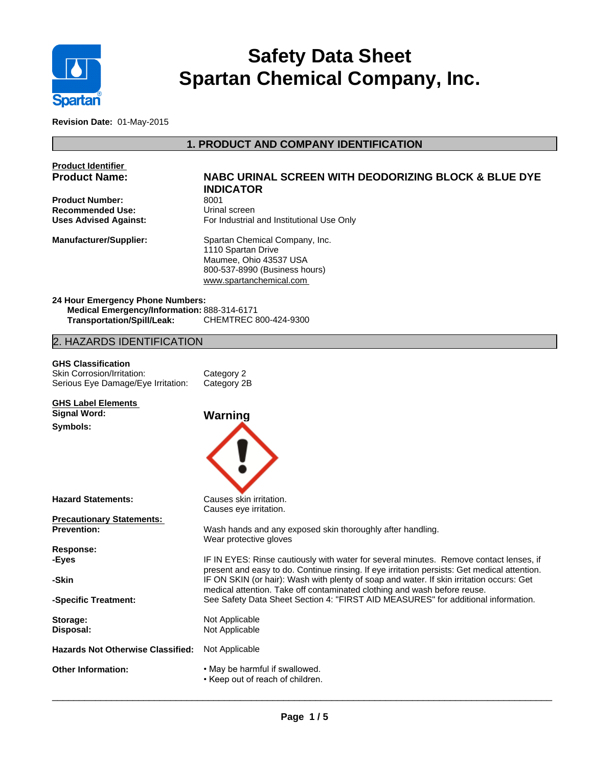

# **Safety Data Sheet Spartan Chemical Company, Inc.**

**Revision Date:** 01-May-2015

# **1. PRODUCT AND COMPANY IDENTIFICATION**

| <b>Product Identifier</b><br><b>Product Name:</b>                                                                    | <b>NABC URINAL SCREEN WITH DEODORIZING BLOCK &amp; BLUE DYE</b><br><b>INDICATOR</b>                                                                                                    |  |
|----------------------------------------------------------------------------------------------------------------------|----------------------------------------------------------------------------------------------------------------------------------------------------------------------------------------|--|
| <b>Product Number:</b>                                                                                               | 8001                                                                                                                                                                                   |  |
| <b>Recommended Use:</b>                                                                                              | Urinal screen                                                                                                                                                                          |  |
| <b>Uses Advised Against:</b>                                                                                         | For Industrial and Institutional Use Only                                                                                                                                              |  |
| <b>Manufacturer/Supplier:</b>                                                                                        | Spartan Chemical Company, Inc.<br>1110 Spartan Drive<br>Maumee, Ohio 43537 USA<br>800-537-8990 (Business hours)<br>www.spartanchemical.com                                             |  |
| 24 Hour Emergency Phone Numbers:<br>Medical Emergency/Information: 888-314-6171<br><b>Transportation/Spill/Leak:</b> | CHEMTREC 800-424-9300                                                                                                                                                                  |  |
| 2. HAZARDS IDENTIFICATION                                                                                            |                                                                                                                                                                                        |  |
| <b>GHS Classification</b>                                                                                            |                                                                                                                                                                                        |  |
| Skin Corrosion/Irritation:                                                                                           | Category 2                                                                                                                                                                             |  |
| Serious Eye Damage/Eye Irritation:                                                                                   | Category 2B                                                                                                                                                                            |  |
| <b>GHS Label Elements</b>                                                                                            |                                                                                                                                                                                        |  |
| <b>Signal Word:</b>                                                                                                  | Warning                                                                                                                                                                                |  |
| Symbols:                                                                                                             |                                                                                                                                                                                        |  |
| <b>Hazard Statements:</b>                                                                                            | Causes skin irritation.<br>Causes eye irritation.                                                                                                                                      |  |
| <b>Precautionary Statements:</b>                                                                                     |                                                                                                                                                                                        |  |
| <b>Prevention:</b>                                                                                                   | Wash hands and any exposed skin thoroughly after handling.<br>Wear protective gloves                                                                                                   |  |
| <b>Response:</b>                                                                                                     |                                                                                                                                                                                        |  |
| -Eyes                                                                                                                | IF IN EYES: Rinse cautiously with water for several minutes. Remove contact lenses, if<br>present and easy to do. Continue rinsing. If eye irritation persists: Get medical attention. |  |
| -Skin                                                                                                                | IF ON SKIN (or hair): Wash with plenty of soap and water. If skin irritation occurs: Get<br>medical attention. Take off contaminated clothing and wash before reuse.                   |  |
| -Specific Treatment:                                                                                                 | See Safety Data Sheet Section 4: "FIRST AID MEASURES" for additional information.                                                                                                      |  |
| Storage:                                                                                                             | Not Applicable                                                                                                                                                                         |  |
| Disposal:                                                                                                            | Not Applicable                                                                                                                                                                         |  |
| <b>Hazards Not Otherwise Classified:</b>                                                                             | Not Applicable                                                                                                                                                                         |  |
| <b>Other Information:</b>                                                                                            | . May be harmful if swallowed.<br>• Keep out of reach of children.                                                                                                                     |  |
|                                                                                                                      |                                                                                                                                                                                        |  |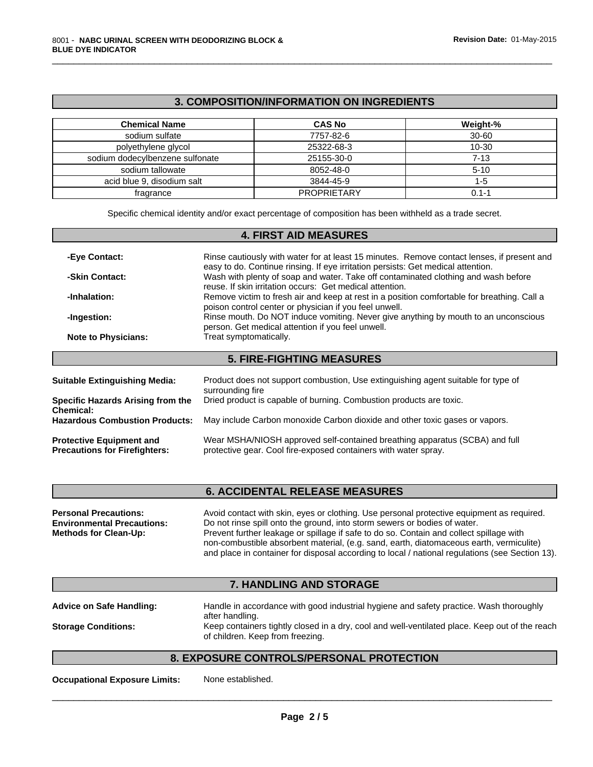## **3. COMPOSITION/INFORMATION ON INGREDIENTS**

\_\_\_\_\_\_\_\_\_\_\_\_\_\_\_\_\_\_\_\_\_\_\_\_\_\_\_\_\_\_\_\_\_\_\_\_\_\_\_\_\_\_\_\_\_\_\_\_\_\_\_\_\_\_\_\_\_\_\_\_\_\_\_\_\_\_\_\_\_\_\_\_\_\_\_\_\_\_\_\_\_\_\_\_\_\_\_\_\_\_\_\_\_

| <b>Chemical Name</b>            | <b>CAS No</b>      | Weight-%  |
|---------------------------------|--------------------|-----------|
| sodium sulfate                  | 7757-82-6          | $30 - 60$ |
| polyethylene glycol             | 25322-68-3         | $10 - 30$ |
| sodium dodecylbenzene sulfonate | 25155-30-0         | 7-13      |
| sodium tallowate                | 8052-48-0          | $5 - 10$  |
| acid blue 9. disodium salt      | 3844-45-9          | 1-5       |
| fragrance                       | <b>PROPRIETARY</b> | 0.1-1     |

Specific chemical identity and/or exact percentage of composition has been withheld as a trade secret.

|                            | <b>4. FIRST AID MEASURES</b>                                                                                                                                                   |
|----------------------------|--------------------------------------------------------------------------------------------------------------------------------------------------------------------------------|
| -Eye Contact:              | Rinse cautiously with water for at least 15 minutes. Remove contact lenses, if present and<br>easy to do. Continue rinsing. If eye irritation persists: Get medical attention. |
| -Skin Contact:             | Wash with plenty of soap and water. Take off contaminated clothing and wash before<br>reuse. If skin irritation occurs: Get medical attention.                                 |
| -Inhalation:               | Remove victim to fresh air and keep at rest in a position comfortable for breathing. Call a<br>poison control center or physician if you feel unwell.                          |
| -Ingestion:                | Rinse mouth. Do NOT induce vomiting. Never give anything by mouth to an unconscious<br>person. Get medical attention if you feel unwell.                                       |
| <b>Note to Physicians:</b> | Treat symptomatically.                                                                                                                                                         |

| <b>Suitable Extinguishing Media:</b>                                    | Product does not support combustion, Use extinguishing agent suitable for type of<br>surrounding fire                                          |
|-------------------------------------------------------------------------|------------------------------------------------------------------------------------------------------------------------------------------------|
| Specific Hazards Arising from the<br><b>Chemical:</b>                   | Dried product is capable of burning. Combustion products are toxic.                                                                            |
| <b>Hazardous Combustion Products:</b>                                   | May include Carbon monoxide Carbon dioxide and other toxic gases or vapors.                                                                    |
| <b>Protective Equipment and</b><br><b>Precautions for Firefighters:</b> | Wear MSHA/NIOSH approved self-contained breathing apparatus (SCBA) and full<br>protective gear. Cool fire-exposed containers with water spray. |

# **6. ACCIDENTAL RELEASE MEASURES**

| <b>Personal Precautions:</b>      | Avoid contact with skin, eyes or clothing. Use personal protective equipment as required.       |
|-----------------------------------|-------------------------------------------------------------------------------------------------|
| <b>Environmental Precautions:</b> | Do not rinse spill onto the ground, into storm sewers or bodies of water.                       |
| <b>Methods for Clean-Up:</b>      | Prevent further leakage or spillage if safe to do so. Contain and collect spillage with         |
|                                   | non-combustible absorbent material, (e.g. sand, earth, diatomaceous earth, vermiculite)         |
|                                   | and place in container for disposal according to local / national regulations (see Section 13). |

## **7. HANDLING AND STORAGE**

| <b>Advice on Safe Handling:</b> | Handle in accordance with good industrial hygiene and safety practice. Wash thoroughly<br>after handling.                          |
|---------------------------------|------------------------------------------------------------------------------------------------------------------------------------|
| <b>Storage Conditions:</b>      | Keep containers tightly closed in a dry, cool and well-ventilated place. Keep out of the reach<br>of children. Keep from freezing. |
|                                 |                                                                                                                                    |

# **8. EXPOSURE CONTROLS/PERSONAL PROTECTION**

**Occupational Exposure Limits:** None established.

 $\overline{\phantom{a}}$  ,  $\overline{\phantom{a}}$  ,  $\overline{\phantom{a}}$  ,  $\overline{\phantom{a}}$  ,  $\overline{\phantom{a}}$  ,  $\overline{\phantom{a}}$  ,  $\overline{\phantom{a}}$  ,  $\overline{\phantom{a}}$  ,  $\overline{\phantom{a}}$  ,  $\overline{\phantom{a}}$  ,  $\overline{\phantom{a}}$  ,  $\overline{\phantom{a}}$  ,  $\overline{\phantom{a}}$  ,  $\overline{\phantom{a}}$  ,  $\overline{\phantom{a}}$  ,  $\overline{\phantom{a}}$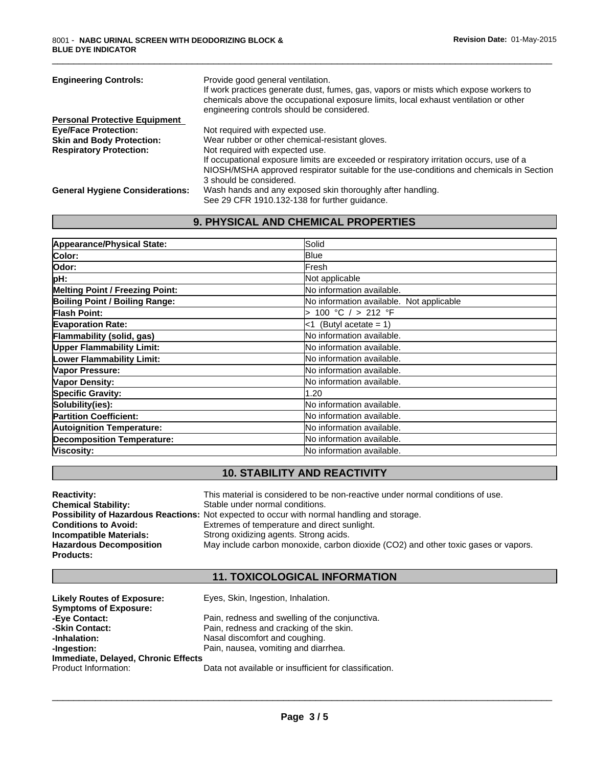| <b>Engineering Controls:</b>           | Provide good general ventilation.<br>If work practices generate dust, fumes, gas, vapors or mists which expose workers to<br>chemicals above the occupational exposure limits, local exhaust ventilation or other<br>engineering controls should be considered. |
|----------------------------------------|-----------------------------------------------------------------------------------------------------------------------------------------------------------------------------------------------------------------------------------------------------------------|
| <b>Personal Protective Equipment</b>   |                                                                                                                                                                                                                                                                 |
| <b>Eye/Face Protection:</b>            | Not required with expected use.                                                                                                                                                                                                                                 |
| <b>Skin and Body Protection:</b>       | Wear rubber or other chemical-resistant gloves.                                                                                                                                                                                                                 |
| <b>Respiratory Protection:</b>         | Not required with expected use.                                                                                                                                                                                                                                 |
|                                        | If occupational exposure limits are exceeded or respiratory irritation occurs, use of a                                                                                                                                                                         |
|                                        | NIOSH/MSHA approved respirator suitable for the use-conditions and chemicals in Section                                                                                                                                                                         |
|                                        | 3 should be considered.                                                                                                                                                                                                                                         |
| <b>General Hygiene Considerations:</b> | Wash hands and any exposed skin thoroughly after handling.                                                                                                                                                                                                      |
|                                        | See 29 CFR 1910.132-138 for further guidance.                                                                                                                                                                                                                   |
|                                        |                                                                                                                                                                                                                                                                 |

\_\_\_\_\_\_\_\_\_\_\_\_\_\_\_\_\_\_\_\_\_\_\_\_\_\_\_\_\_\_\_\_\_\_\_\_\_\_\_\_\_\_\_\_\_\_\_\_\_\_\_\_\_\_\_\_\_\_\_\_\_\_\_\_\_\_\_\_\_\_\_\_\_\_\_\_\_\_\_\_\_\_\_\_\_\_\_\_\_\_\_\_\_

# **9. PHYSICAL AND CHEMICAL PROPERTIES**

| Appearance/Physical State:             | Solid                                    |
|----------------------------------------|------------------------------------------|
| Color:                                 | <b>B</b> lue                             |
| lOdor:                                 | Fresh                                    |
| pH:                                    | Not applicable                           |
| <b>Melting Point / Freezing Point:</b> | No information available.                |
| Boiling Point / Boiling Range:         | No information available. Not applicable |
| <b>Flash Point:</b>                    | 100 °C / > 212 °F                        |
| <b>Evaporation Rate:</b>               | <1 (Butyl acetate = 1)                   |
| Flammability (solid, gas)              | No information available.                |
| <b>Upper Flammability Limit:</b>       | No information available.                |
| Lower Flammability Limit:              | No information available.                |
| Vapor Pressure:                        | <b>No information available.</b>         |
| <b>Vapor Density:</b>                  | <b>No information available.</b>         |
| Specific Gravity:                      | 1.20                                     |
| Solubility(ies):                       | No information available.                |
| <b>Partition Coefficient:</b>          | No information available.                |
| <b>Autoignition Temperature:</b>       | <b>No information available.</b>         |
| <b>Decomposition Temperature:</b>      | <b>No information available.</b>         |
| Viscosity:                             | No information available.                |

# **10. STABILITY AND REACTIVITY**

| <b>Reactivity:</b>             | This material is considered to be non-reactive under normal conditions of use.                     |
|--------------------------------|----------------------------------------------------------------------------------------------------|
| <b>Chemical Stability:</b>     | Stable under normal conditions.                                                                    |
|                                | <b>Possibility of Hazardous Reactions:</b> Not expected to occur with normal handling and storage. |
| <b>Conditions to Avoid:</b>    | Extremes of temperature and direct sunlight.                                                       |
| Incompatible Materials:        | Strong oxidizing agents. Strong acids.                                                             |
| <b>Hazardous Decomposition</b> | May include carbon monoxide, carbon dioxide (CO2) and other toxic gases or vapors.                 |
| Products:                      |                                                                                                    |

# **11. TOXICOLOGICAL INFORMATION**

| <b>Likely Routes of Exposure:</b>   | Eyes, Skin, Ingestion, Inhalation.                     |
|-------------------------------------|--------------------------------------------------------|
| <b>Symptoms of Exposure:</b>        |                                                        |
| -Eye Contact:                       | Pain, redness and swelling of the conjunctiva.         |
| -Skin Contact:                      | Pain, redness and cracking of the skin.                |
| -Inhalation:                        | Nasal discomfort and coughing.                         |
| -Ingestion:                         | Pain, nausea, vomiting and diarrhea.                   |
| Immediate, Delayed, Chronic Effects |                                                        |
| Product Information:                | Data not available or insufficient for classification. |

 $\overline{\phantom{a}}$  ,  $\overline{\phantom{a}}$  ,  $\overline{\phantom{a}}$  ,  $\overline{\phantom{a}}$  ,  $\overline{\phantom{a}}$  ,  $\overline{\phantom{a}}$  ,  $\overline{\phantom{a}}$  ,  $\overline{\phantom{a}}$  ,  $\overline{\phantom{a}}$  ,  $\overline{\phantom{a}}$  ,  $\overline{\phantom{a}}$  ,  $\overline{\phantom{a}}$  ,  $\overline{\phantom{a}}$  ,  $\overline{\phantom{a}}$  ,  $\overline{\phantom{a}}$  ,  $\overline{\phantom{a}}$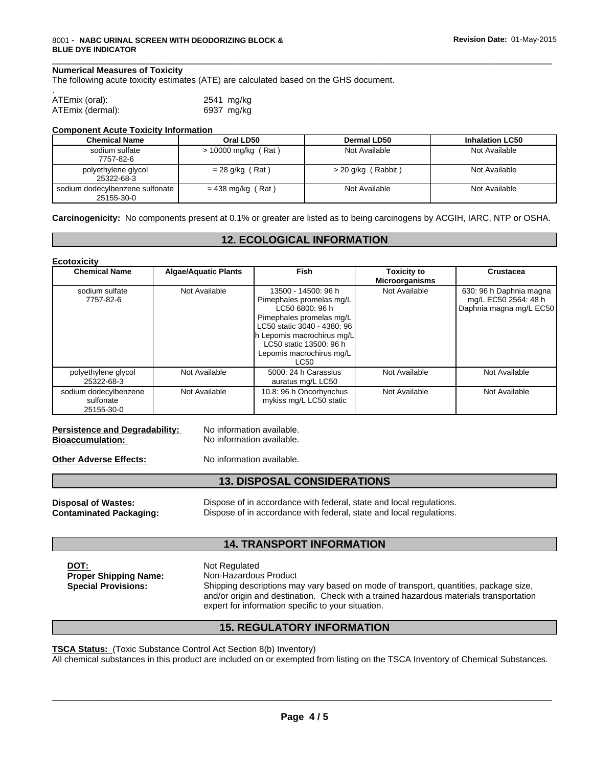#### **Numerical Measures of Toxicity**

The following acute toxicity estimates (ATE) are calculated based on the GHS document.

| ATEmix (oral):   | 2541 mg/kg |
|------------------|------------|
| ATEmix (dermal): | 6937 mg/kg |

#### **Component Acute Toxicity Information**

| <b>Chemical Name</b>                          | Oral LD50             | Dermal LD50        | <b>Inhalation LC50</b> |
|-----------------------------------------------|-----------------------|--------------------|------------------------|
| sodium sulfate<br>7757-82-6                   | $> 10000$ mg/kg (Rat) | Not Available      | Not Available          |
| polyethylene glycol<br>25322-68-3             | $= 28$ g/kg (Rat)     | > 20 g/kg (Rabbit) | Not Available          |
| sodium dodecylbenzene sulfonate<br>25155-30-0 | $= 438$ mg/kg (Rat)   | Not Available      | Not Available          |

**Carcinogenicity:** No components present at 0.1% or greater are listed as to being carcinogens by ACGIH, IARC, NTP or OSHA.

## **12. ECOLOGICAL INFORMATION**

| <b>Ecotoxicity</b> |
|--------------------|
|--------------------|

| <b>Chemical Name</b>                             | <b>Algae/Aquatic Plants</b> | Fish                                                                                                                                                                                                                       | <b>Toxicity to</b><br><b>Microorganisms</b> | <b>Crustacea</b>                                                           |
|--------------------------------------------------|-----------------------------|----------------------------------------------------------------------------------------------------------------------------------------------------------------------------------------------------------------------------|---------------------------------------------|----------------------------------------------------------------------------|
| sodium sulfate<br>7757-82-6                      | Not Available               | 13500 - 14500: 96 h<br>Pimephales promelas mg/L<br>LC50 6800: 96 h<br>Pimephales promelas mg/L<br>LC50 static 3040 - 4380: 96<br>h Lepomis macrochirus mg/L<br>LC50 static 13500: 96 h<br>Lepomis macrochirus mg/L<br>LC50 | Not Available                               | 630: 96 h Daphnia magna<br>mg/L EC50 2564: 48 h<br>Daphnia magna mg/L EC50 |
| polyethylene glycol<br>25322-68-3                | Not Available               | 5000: 24 h Carassius<br>auratus mg/L LC50                                                                                                                                                                                  | Not Available                               | Not Available                                                              |
| sodium dodecylbenzene<br>sulfonate<br>25155-30-0 | Not Available               | 10.8: 96 h Oncorhynchus<br>mykiss mg/L LC50 static                                                                                                                                                                         | Not Available                               | Not Available                                                              |

#### **Persistence and Degradability:** No information available. **Bioaccumulation:** No information available.

**Other Adverse Effects:** No information available.

## **13. DISPOSAL CONSIDERATIONS**

**Disposal of Wastes:** Dispose of in accordance with federal, state and local regulations. **Contaminated Packaging:** Dispose of in accordance with federal, state and local regulations.

#### **14. TRANSPORT INFORMATION**

**DOT:** Not Regulated **Special Provisions:**

**Proper Shipping Name:** Non-Hazardous Product Shipping descriptions may vary based on mode of transport, quantities, package size, and/or origin and destination. Check with a trained hazardous materials transportation expert for information specific to your situation.

 $\overline{\phantom{a}}$  ,  $\overline{\phantom{a}}$  ,  $\overline{\phantom{a}}$  ,  $\overline{\phantom{a}}$  ,  $\overline{\phantom{a}}$  ,  $\overline{\phantom{a}}$  ,  $\overline{\phantom{a}}$  ,  $\overline{\phantom{a}}$  ,  $\overline{\phantom{a}}$  ,  $\overline{\phantom{a}}$  ,  $\overline{\phantom{a}}$  ,  $\overline{\phantom{a}}$  ,  $\overline{\phantom{a}}$  ,  $\overline{\phantom{a}}$  ,  $\overline{\phantom{a}}$  ,  $\overline{\phantom{a}}$ 

## **15. REGULATORY INFORMATION**

**TSCA Status:** (Toxic Substance Control Act Section 8(b) Inventory)

All chemical substances in this product are included on or exempted from listing on the TSCA Inventory of Chemical Substances.